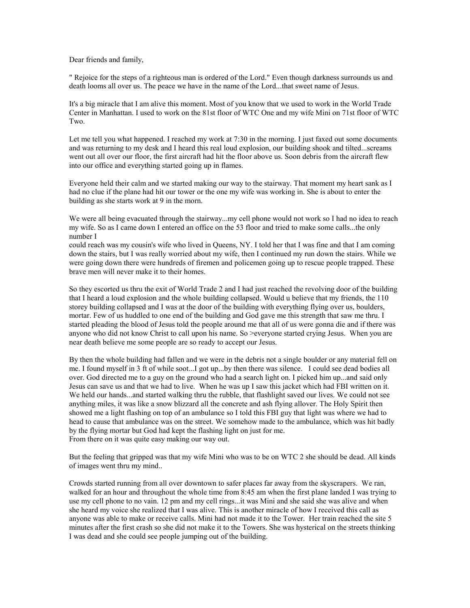Dear friends and family,

" Rejoice for the steps of a righteous man is ordered of the Lord." Even though darkness surrounds us and death looms all over us. The peace we have in the name of the Lord...that sweet name of Jesus.

It's a big miracle that I am alive this moment. Most of you know that we used to work in the World Trade Center in Manhattan. I used to work on the 81st floor of WTC One and my wife Mini on 71st floor of WTC Two.

Let me tell you what happened. I reached my work at 7:30 in the morning. I just faxed out some documents and was returning to my desk and I heard this real loud explosion, our building shook and tilted...screams went out all over our floor, the first aircraft had hit the floor above us. Soon debris from the aircraft flew into our office and everything started going up in flames.

Everyone held their calm and we started making our way to the stairway. That moment my heart sank as I had no clue if the plane had hit our tower or the one my wife was working in. She is about to enter the building as she starts work at 9 in the morn.

We were all being evacuated through the stairway...my cell phone would not work so I had no idea to reach my wife. So as I came down I entered an office on the 53 floor and tried to make some calls...the only number I

could reach was my cousin's wife who lived in Queens, NY. I told her that I was fine and that I am coming down the stairs, but I was really worried about my wife, then I continued my run down the stairs. While we were going down there were hundreds of firemen and policemen going up to rescue people trapped. These brave men will never make it to their homes.

So they escorted us thru the exit of World Trade 2 and I had just reached the revolving door of the building that I heard a loud explosion and the whole building collapsed. Would u believe that my friends, the 110 storey building collapsed and I was at the door of the building with everything flying over us, boulders, mortar. Few of us huddled to one end of the building and God gave me this strength that saw me thru. I started pleading the blood of Jesus told the people around me that all of us were gonna die and if there was anyone who did not know Christ to call upon his name. So >everyone started crying Jesus. When you are near death believe me some people are so ready to accept our Jesus.

By then the whole building had fallen and we were in the debris not a single boulder or any material fell on me. I found myself in 3 ft of while soot...I got up...by then there was silence. I could see dead bodies all over. God directed me to a guy on the ground who had a search light on. I picked him up...and said only Jesus can save us and that we had to live. When he was up I saw this jacket which had FBI written on it. We held our hands...and started walking thru the rubble, that flashlight saved our lives. We could not see anything miles, it was like a snow blizzard all the concrete and ash flying allover. The Holy Spirit then showed me a light flashing on top of an ambulance so I told this FBI guy that light was where we had to head to cause that ambulance was on the street. We somehow made to the ambulance, which was hit badly by the flying mortar but God had kept the flashing light on just for me. From there on it was quite easy making our way out.

But the feeling that gripped was that my wife Mini who was to be on WTC 2 she should be dead. All kinds of images went thru my mind..

Crowds started running from all over downtown to safer places far away from the skyscrapers. We ran, walked for an hour and throughout the whole time from 8:45 am when the first plane landed I was trying to use my cell phone to no vain. 12 pm and my cell rings...it was Mini and she said she was alive and when she heard my voice she realized that I was alive. This is another miracle of how I received this call as anyone was able to make or receive calls. Mini had not made it to the Tower. Her train reached the site 5 minutes after the first crash so she did not make it to the Towers. She was hysterical on the streets thinking I was dead and she could see people jumping out of the building.